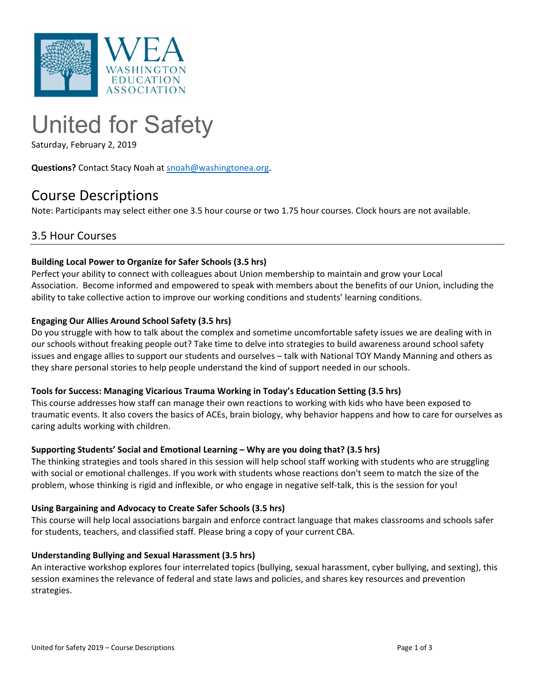

# United for Safety

Saturday, February 2, 2019

**Questions?** Contact Stacy Noah at snoah@washingtonea.org.

# Course Descriptions

Note: Participants may select either one 3.5 hour course or two 1.75 hour courses. Clock hours are not available.

### 3.5 Hour Courses

#### **Building Local Power to Organize for Safer Schools (3.5 hrs)**

Perfect your ability to connect with colleagues about Union membership to maintain and grow your Local Association. Become informed and empowered to speak with members about the benefits of our Union, including the ability to take collective action to improve our working conditions and students' learning conditions.

#### **Engaging Our Allies Around School Safety (3.5 hrs)**

Do you struggle with how to talk about the complex and sometime uncomfortable safety issues we are dealing with in our schools without freaking people out? Take time to delve into strategies to build awareness around school safety issues and engage allies to support our students and ourselves – talk with National TOY Mandy Manning and others as they share personal stories to help people understand the kind of support needed in our schools.

#### **Tools for Success: Managing Vicarious Trauma Working in Today's Education Setting (3.5 hrs)**

This course addresses how staff can manage their own reactions to working with kids who have been exposed to traumatic events. It also covers the basics of ACEs, brain biology, why behavior happens and how to care for ourselves as caring adults working with children.

#### **Supporting Students' Social and Emotional Learning – Why are you doing that? (3.5 hrs)**

The thinking strategies and tools shared in this session will help school staff working with students who are struggling with social or emotional challenges. If you work with students whose reactions don't seem to match the size of the problem, whose thinking is rigid and inflexible, or who engage in negative self-talk, this is the session for you!

#### **Using Bargaining and Advocacy to Create Safer Schools (3.5 hrs)**

This course will help local associations bargain and enforce contract language that makes classrooms and schools safer for students, teachers, and classified staff. Please bring a copy of your current CBA.

#### **Understanding Bullying and Sexual Harassment (3.5 hrs)**

An interactive workshop explores four interrelated topics (bullying, sexual harassment, cyber bullying, and sexting), this session examines the relevance of federal and state laws and policies, and shares key resources and prevention strategies.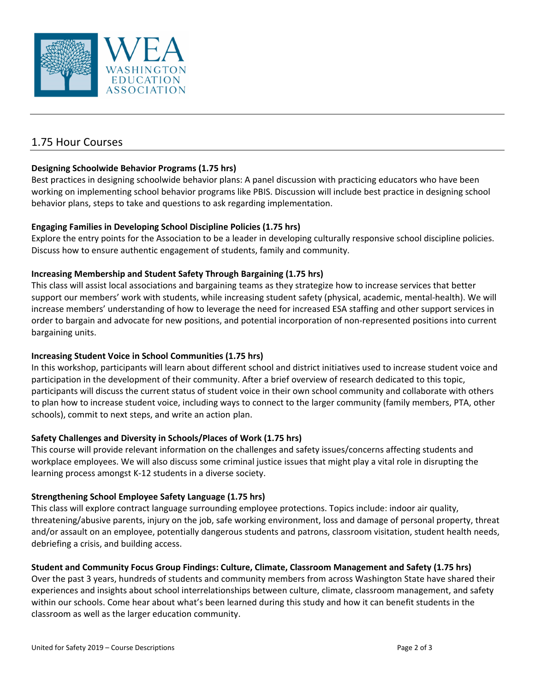

## 1.75 Hour Courses

#### **Designing Schoolwide Behavior Programs (1.75 hrs)**

Best practices in designing schoolwide behavior plans: A panel discussion with practicing educators who have been working on implementing school behavior programs like PBIS. Discussion will include best practice in designing school behavior plans, steps to take and questions to ask regarding implementation.

#### **Engaging Families in Developing School Discipline Policies (1.75 hrs)**

Explore the entry points for the Association to be a leader in developing culturally responsive school discipline policies. Discuss how to ensure authentic engagement of students, family and community.

#### **Increasing Membership and Student Safety Through Bargaining (1.75 hrs)**

This class will assist local associations and bargaining teams as they strategize how to increase services that better support our members' work with students, while increasing student safety (physical, academic, mental-health). We will increase members' understanding of how to leverage the need for increased ESA staffing and other support services in order to bargain and advocate for new positions, and potential incorporation of non‐represented positions into current bargaining units.

#### **Increasing Student Voice in School Communities (1.75 hrs)**

In this workshop, participants will learn about different school and district initiatives used to increase student voice and participation in the development of their community. After a brief overview of research dedicated to this topic, participants will discuss the current status of student voice in their own school community and collaborate with others to plan how to increase student voice, including ways to connect to the larger community (family members, PTA, other schools), commit to next steps, and write an action plan.

#### **Safety Challenges and Diversity in Schools/Places of Work (1.75 hrs)**

This course will provide relevant information on the challenges and safety issues/concerns affecting students and workplace employees. We will also discuss some criminal justice issues that might play a vital role in disrupting the learning process amongst K‐12 students in a diverse society.

#### **Strengthening School Employee Safety Language (1.75 hrs)**

This class will explore contract language surrounding employee protections. Topics include: indoor air quality, threatening/abusive parents, injury on the job, safe working environment, loss and damage of personal property, threat and/or assault on an employee, potentially dangerous students and patrons, classroom visitation, student health needs, debriefing a crisis, and building access.

#### **Student and Community Focus Group Findings: Culture, Climate, Classroom Management and Safety (1.75 hrs)**

Over the past 3 years, hundreds of students and community members from across Washington State have shared their experiences and insights about school interrelationships between culture, climate, classroom management, and safety within our schools. Come hear about what's been learned during this study and how it can benefit students in the classroom as well as the larger education community.